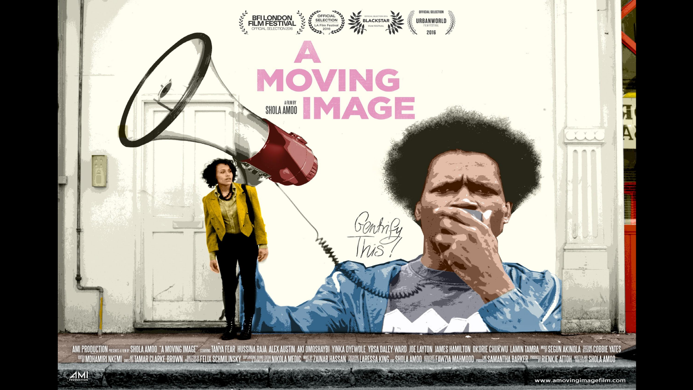

. OFFINDHAMIRI NKEMI MEHETAMAR CLARKE-BROWN , MEEN FELIX SCHMILINSKY SPENGES MARKEDIG WER ZAINAB HASSAN MEEDIA ARESSA KING AN SHOLA AMOO ASHEST FANZIA MAHMOOD , MANS SAMANTHA BARKER TOOMS RENKLE ATTOH "BENAS SHOLA AMOO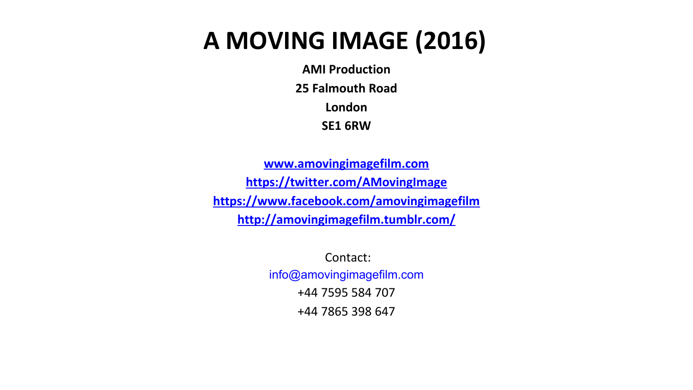# **A MOVING IMAGE (2016)**

**AMI Production 25 Falmouth Road London SE1 6RW**

**[www.amovingimagefilm.com](http://www.amovingimagefilm.com) <https://twitter.com/AMovingImage> <https://www.facebook.com/amovingimagefilm> <http://amovingimagefilm.tumblr.com/>**

> Contact: info@amovingimagefilm.com +44 7595 584 707 +44 7865 398 647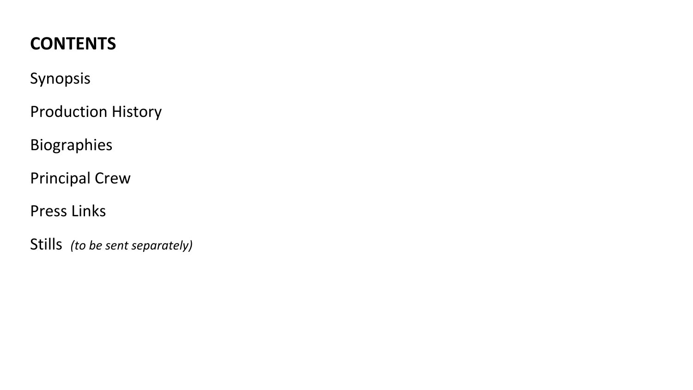# **CONTENTS**

### Synopsis

Production History

Biographies

Principal Crew

Press Links

Stills *(to be sent separately)*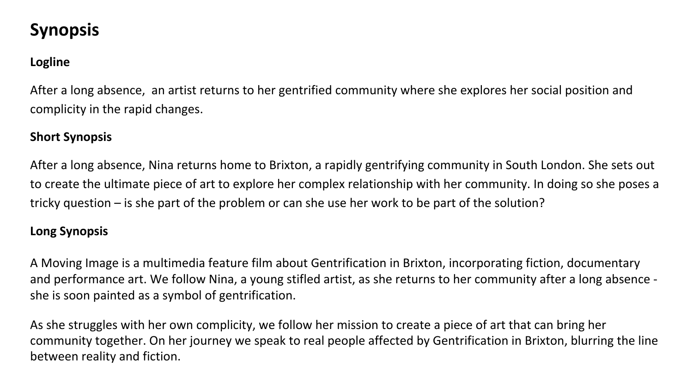## **Synopsis**

#### **Logline**

After a long absence, an artist returns to her gentrified community where she explores her social position and complicity in the rapid changes.

#### **Short Synopsis**

After a long absence, Nina returns home to Brixton, a rapidly gentrifying community in South London. She sets out to create the ultimate piece of art to explore her complex relationship with her community. In doing so she poses a tricky question – is she part of the problem or can she use her work to be part of the solution?

#### **Long Synopsis**

A Moving Image is a multimedia feature film about Gentrification in Brixton, incorporating fiction, documentary and performance art. We follow Nina, a young stifled artist, as she returns to her community after a long absence she is soon painted as a symbol of gentrification.

As she struggles with her own complicity, we follow her mission to create a piece of art that can bring her community together. On her journey we speak to real people affected by Gentrification in Brixton, blurring the line between reality and fiction.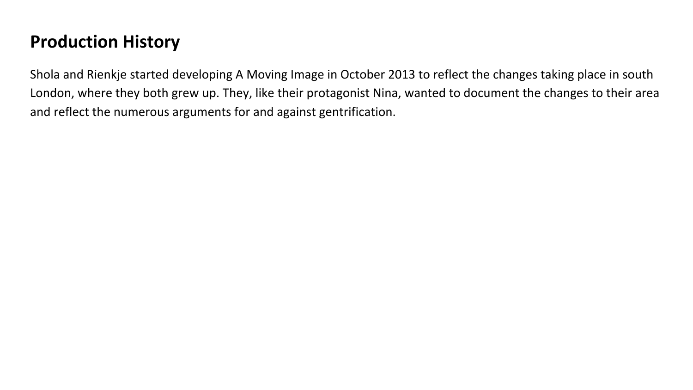### **Production History**

Shola and Rienkje started developing A Moving Image in October 2013 to reflect the changes taking place in south London, where they both grew up. They, like their protagonist Nina, wanted to document the changes to their area and reflect the numerous arguments for and against gentrification.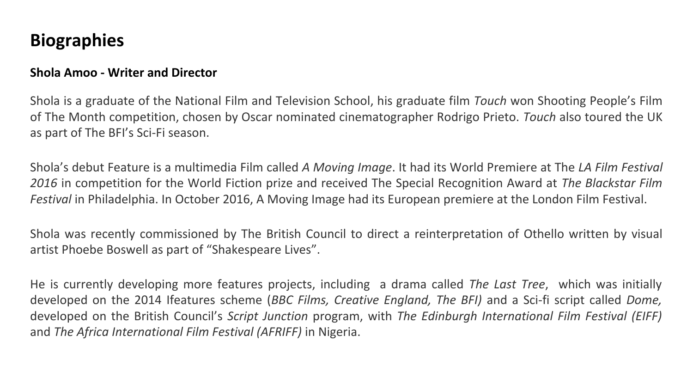### **Biographies**

#### **Shola Amoo - Writer and Director**

Shola is a graduate of the National Film and Television School, his graduate film *Touch* won Shooting People's Film of The Month competition, chosen by Oscar nominated cinematographer Rodrigo Prieto. *Touch* also toured the UK as part of The BFI's Sci-Fi season.

Shola's debut Feature is a multimedia Film called *A Moving Image*. It had its World Premiere at The *LA Film Festival 2016* in competition for the World Fiction prize and received The Special Recognition Award at *The Blackstar Film Festival* in Philadelphia. In October 2016, A Moving Image had its European premiere at the London Film Festival.

Shola was recently commissioned by The British Council to direct a reinterpretation of Othello written by visual artist Phoebe Boswell as part of "Shakespeare Lives".

He is currently developing more features projects, including a drama called *The Last Tree*, which was initially developed on the 2014 Ifeatures scheme (*BBC Films, Creative England, The BFI)* and a Sci-fi script called *Dome,* developed on the British Council's *Script Junction* program, with *The Edinburgh International Film Festival (EIFF)* and *The Africa International Film Festival (AFRIFF)* in Nigeria.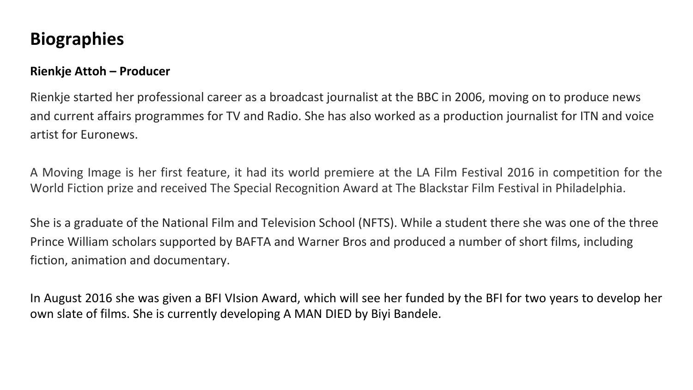### **Biographies**

#### **Rienkje Attoh – Producer**

Rienkje started her professional career as a broadcast journalist at the BBC in 2006, moving on to produce news and current affairs programmes for TV and Radio. She has also worked as a production journalist for ITN and voice artist for Euronews.

A Moving Image is her first feature, it had its world premiere at the LA Film Festival 2016 in competition for the World Fiction prize and received The Special Recognition Award at The Blackstar Film Festival in Philadelphia.

She is a graduate of the National Film and Television School (NFTS). While a student there she was one of the three Prince William scholars supported by BAFTA and Warner Bros and produced a number of short films, including fiction, animation and documentary.

In August 2016 she was given a BFI VIsion Award, which will see her funded by the BFI for two years to develop her own slate of films. She is currently developing A MAN DIED by Biyi Bandele.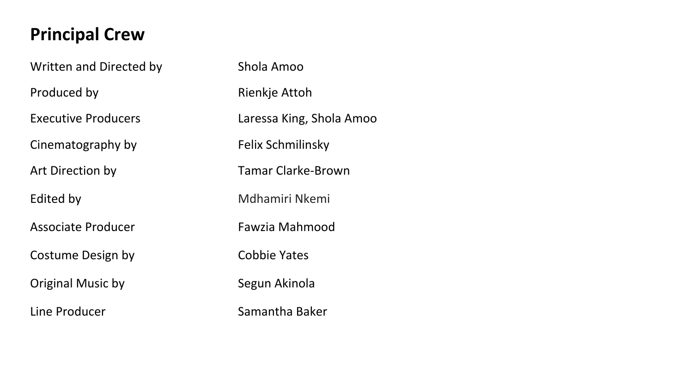## **Principal Crew**

Written and Directed by Shola Amoo Produced by **Rienkje Attoh** Executive Producers Laressa King, Shola Amoo Cinematography by Felix Schmilinsky Art Direction by Tamar Clarke-Brown Edited by **Multiple Community** Multiple Multiple Multiple Multiple Multiple Multiple Multiple Multiple Multiple Associate Producer **Fawzia Mahmood** Costume Design by Cobbie Yates Original Music by Segun Akinola Line Producer **Samantha Baker**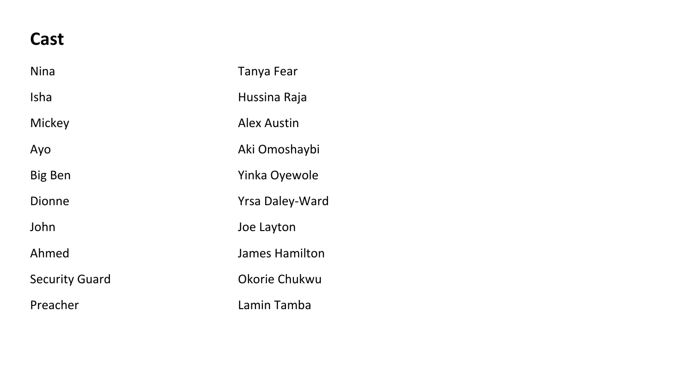### **Cast**

| <b>Nina</b>           | Tanya Fear         |
|-----------------------|--------------------|
| <b>Isha</b>           | Hussina Raja       |
| Mickey                | <b>Alex Austin</b> |
| Ayo                   | Aki Omoshaybi      |
| Big Ben               | Yinka Oyewole      |
| Dionne                | Yrsa Daley-Ward    |
| John                  | Joe Layton         |
| Ahmed                 | James Hamilton     |
| <b>Security Guard</b> | Okorie Chukwu      |
| Preacher              | Lamin Tamba        |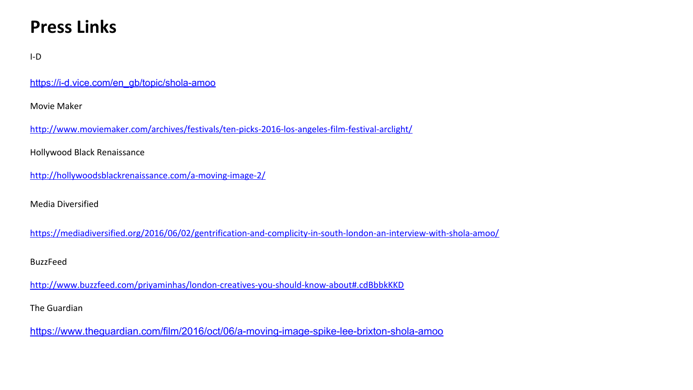### **Press Links**

#### I-D

[https://i-d.vice.com/en\\_gb/topic/shola-amoo](https://i-d.vice.com/en_gb/topic/shola-amoo)

Movie Maker

<http://www.moviemaker.com/archives/festivals/ten-picks-2016-los-angeles-film-festival-arclight/>

Hollywood Black Renaissance

<http://hollywoodsblackrenaissance.com/a-moving-image-2/>

Media Diversified

<https://mediadiversified.org/2016/06/02/gentrification-and-complicity-in-south-london-an-interview-with-shola-amoo/>

BuzzFeed

<http://www.buzzfeed.com/priyaminhas/london-creatives-you-should-know-about#.cdBbbkKKD>

The Guardian

<https://www.theguardian.com/film/2016/oct/06/a-moving-image-spike-lee-brixton-shola-amoo>